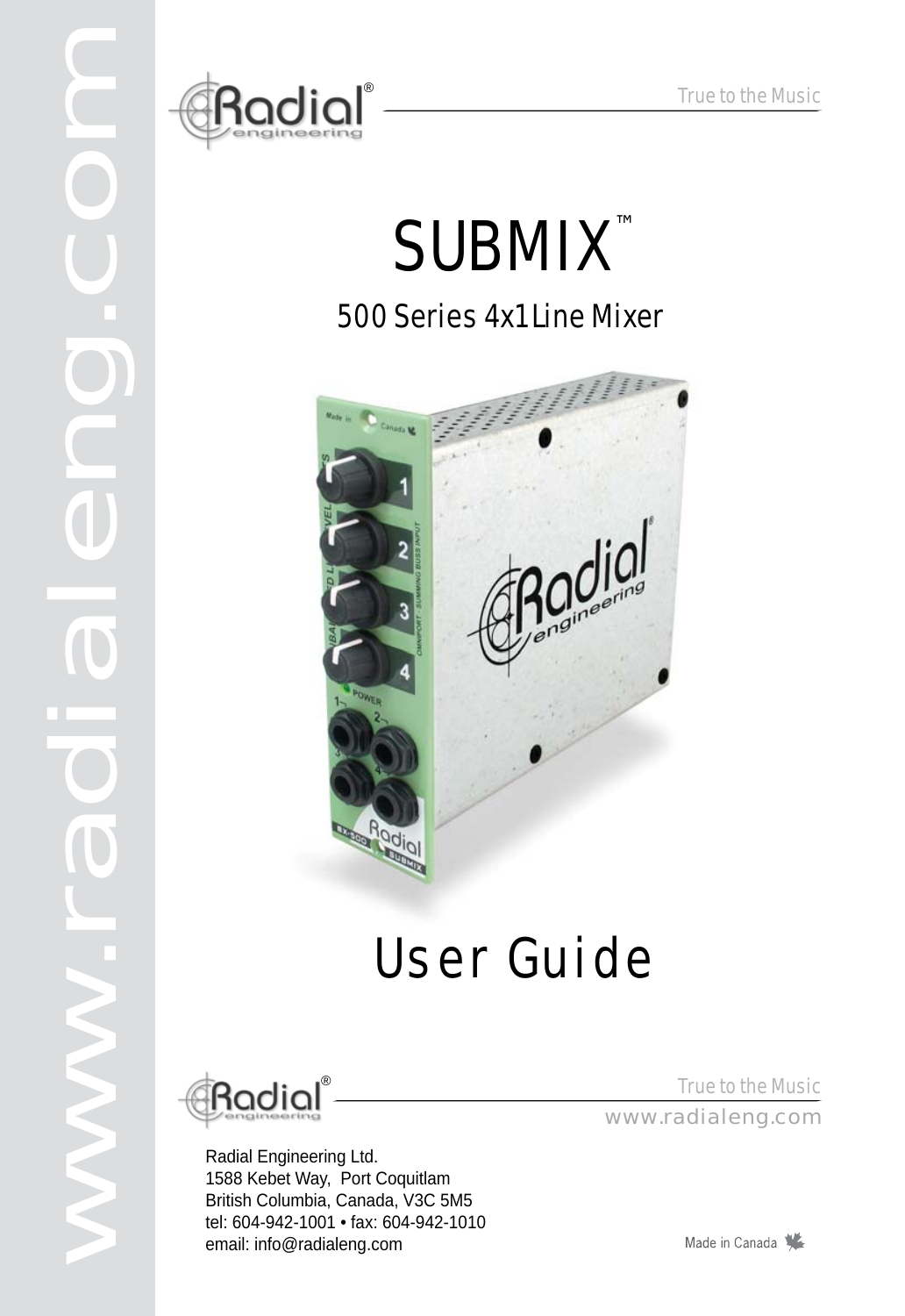

# SUBMIX ™

### 500 Series 4x1 Line Mixer



## User Guide



www.radialeng.com

T

d

Radial Engineering Ltd. 1588 Kebet Way, Port Coquitlam British Columbia, Canada, V3C 5M5 tel: 604-942-1001 • fax: 604-942-1010 email: info@radialeng.com

True to the Music True to the Music<br>www.radialeng.com

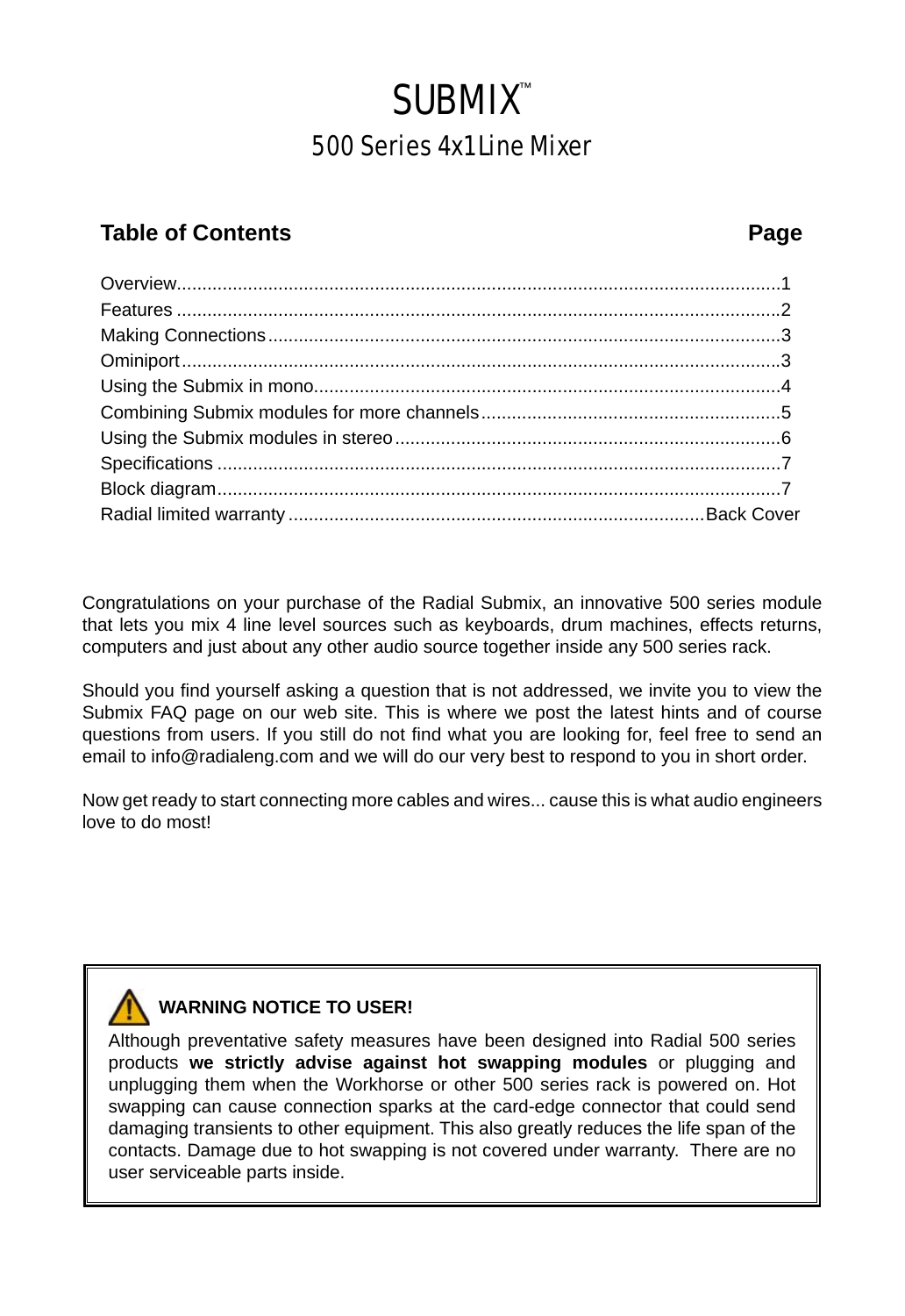## **SUBMIX<sup>™</sup>**

### 500 Series 4x1 Line Mixer

#### **Table of Contents Page**

Congratulations on your purchase of the Radial Submix, an innovative 500 series module that lets you mix 4 line level sources such as keyboards, drum machines, effects returns, computers and just about any other audio source together inside any 500 series rack.

Should you find yourself asking a question that is not addressed, we invite you to view the Submix FAQ page on our web site. This is where we post the latest hints and of course questions from users. If you still do not find what you are looking for, feel free to send an email to info@radialeng.com and we will do our very best to respond to you in short order.

Now get ready to start connecting more cables and wires... cause this is what audio engineers love to do most!

### **WARNING NOTICE TO USER!**

Although preventative safety measures have been designed into Radial 500 series products **we strictly advise against hot swapping modules** or plugging and unplugging them when the Workhorse or other 500 series rack is powered on. Hot swapping can cause connection sparks at the card-edge connector that could send damaging transients to other equipment. This also greatly reduces the life span of the contacts. Damage due to hot swapping is not covered under warranty. There are no user serviceable parts inside.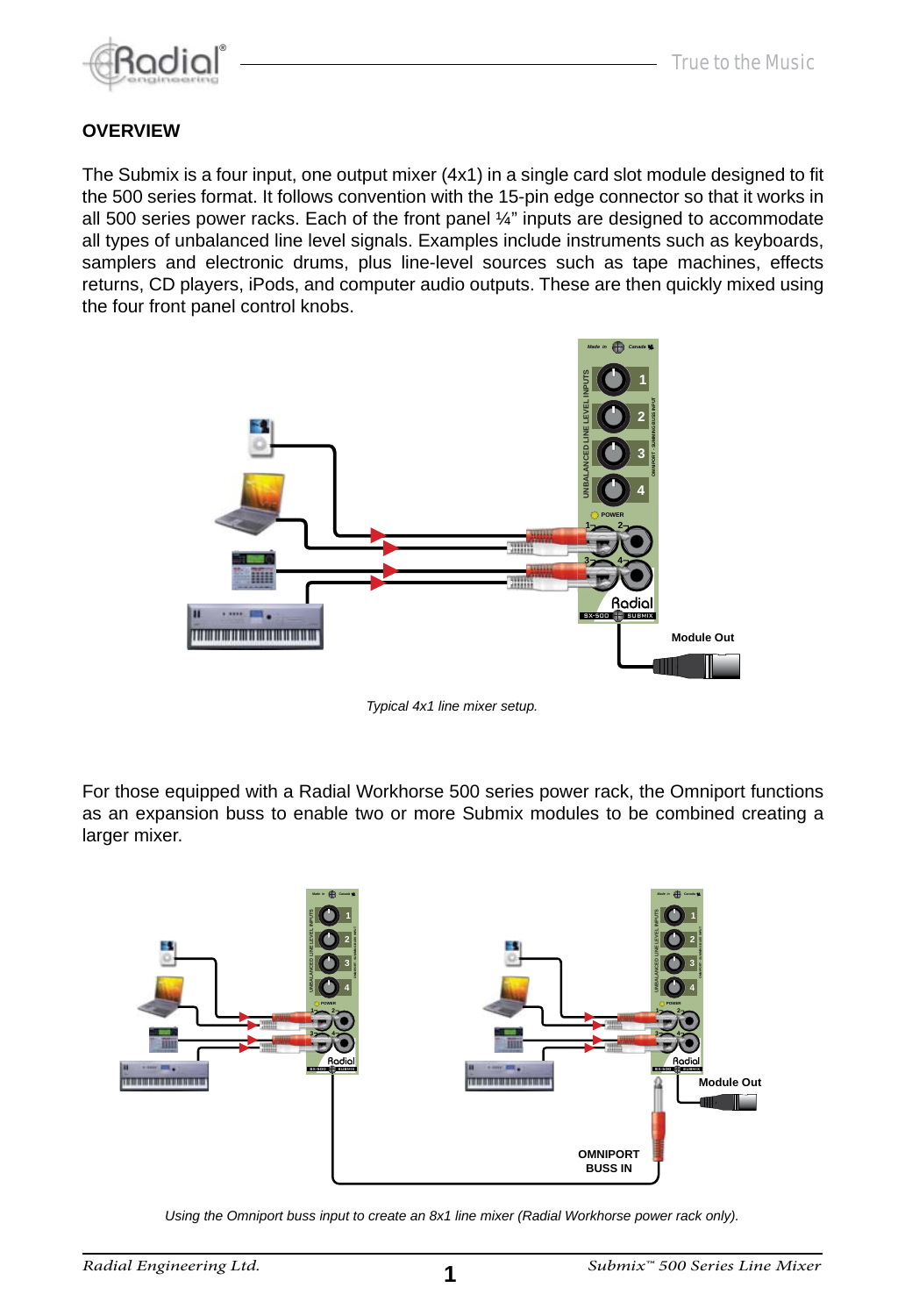

#### **OVERVIEW**

The Submix is a four input, one output mixer (4x1) in a single card slot module designed to fit the 500 series format. It follows convention with the 15-pin edge connector so that it works in all 500 series power racks. Each of the front panel ¼" inputs are designed to accommodate all types of unbalanced line level signals. Examples include instruments such as keyboards, samplers and electronic drums, plus line-level sources such as tape machines, effects returns, CD players, iPods, and computer audio outputs. These are then quickly mixed using the four front panel control knobs.



*Typical 4x1 line mixer setup.*

For those equipped with a Radial Workhorse 500 series power rack, the Omniport functions as an expansion buss to enable two or more Submix modules to be combined creating a larger mixer.



*Using the Omniport buss input to create an 8x1 line mixer (Radial Workhorse power rack only).*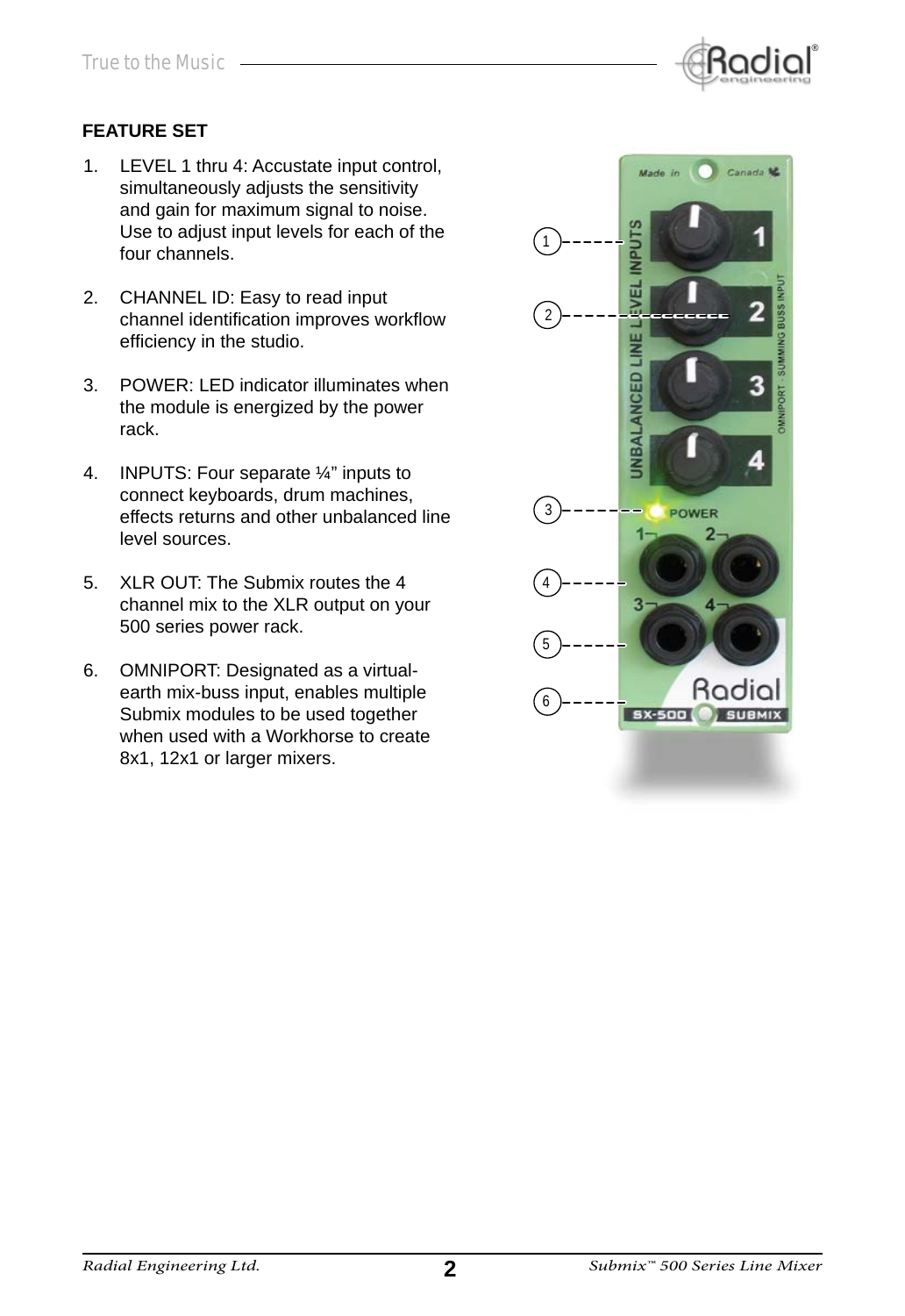

#### **FEATURE SET**

- 1. LEVEL 1 thru 4: Accustate input control, simultaneously adjusts the sensitivity and gain for maximum signal to noise. Use to adjust input levels for each of the four channels.
- 2. CHANNEL ID: Easy to read input channel identification improves workflow efficiency in the studio.
- 3. POWER: LED indicator illuminates when the module is energized by the power rack.
- 4. INPUTS: Four separate ¼" inputs to connect keyboards, drum machines, effects returns and other unbalanced line level sources.
- 5. XLR OUT: The Submix routes the 4 channel mix to the XLR output on your 500 series power rack.
- 6. OMNIPORT: Designated as a virtualearth mix-buss input, enables multiple Submix modules to be used together when used with a Workhorse to create 8x1, 12x1 or larger mixers.

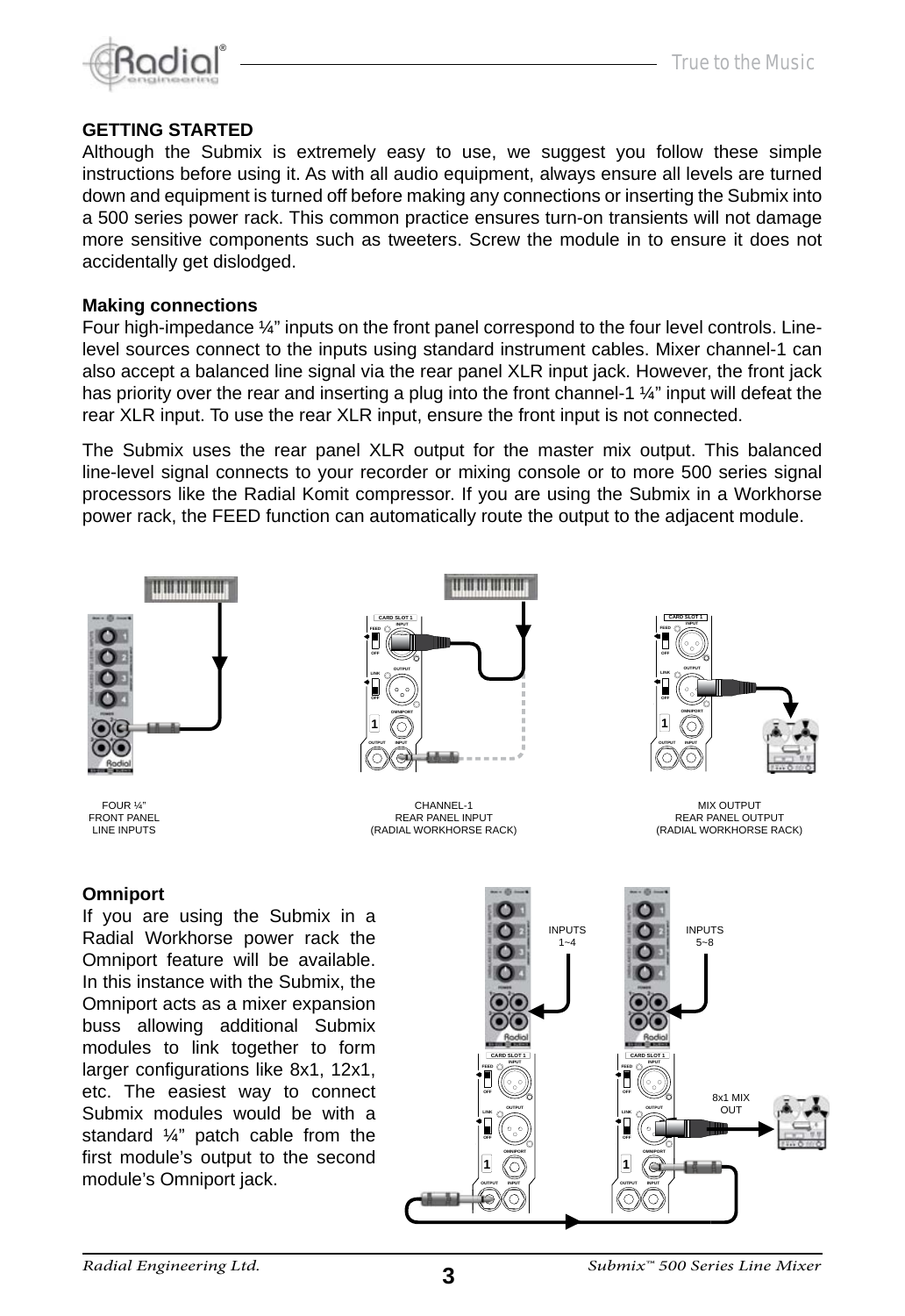

#### **GETTING STARTED**

Although the Submix is extremely easy to use, we suggest you follow these simple instructions before using it. As with all audio equipment, always ensure all levels are turned down and equipment is turned off before making any connections or inserting the Submix into a 500 series power rack. This common practice ensures turn-on transients will not damage more sensitive components such as tweeters. Screw the module in to ensure it does not accidentally get dislodged.

#### **Making connections**

Four high-impedance  $\frac{1}{4}$ " inputs on the front panel correspond to the four level controls. Linelevel sources connect to the inputs using standard instrument cables. Mixer channel-1 can also accept a balanced line signal via the rear panel XLR input jack. However, the front jack has priority over the rear and inserting a plug into the front channel-1  $\frac{1}{4}$ " input will defeat the rear XLR input. To use the rear XLR input, ensure the front input is not connected.

The Submix uses the rear panel XLR output for the master mix output. This balanced line-level signal connects to your recorder or mixing console or to more 500 series signal processors like the Radial Komit compressor. If you are using the Submix in a Workhorse power rack, the FEED function can automatically route the output to the adjacent module.





MIX OUTPUT REAR PANEL OUTPUT (RADIAL WORKHORSE RACK)

#### **Omniport**

If you are using the Submix in a Radial Workhorse power rack the Omniport feature will be available. In this instance with the Submix, the Omniport acts as a mixer expansion buss allowing additional Submix modules to link together to form larger configurations like 8x1, 12x1, etc. The easiest way to connect Submix modules would be with a standard ¼" patch cable from the first module's output to the second module's Omniport jack.

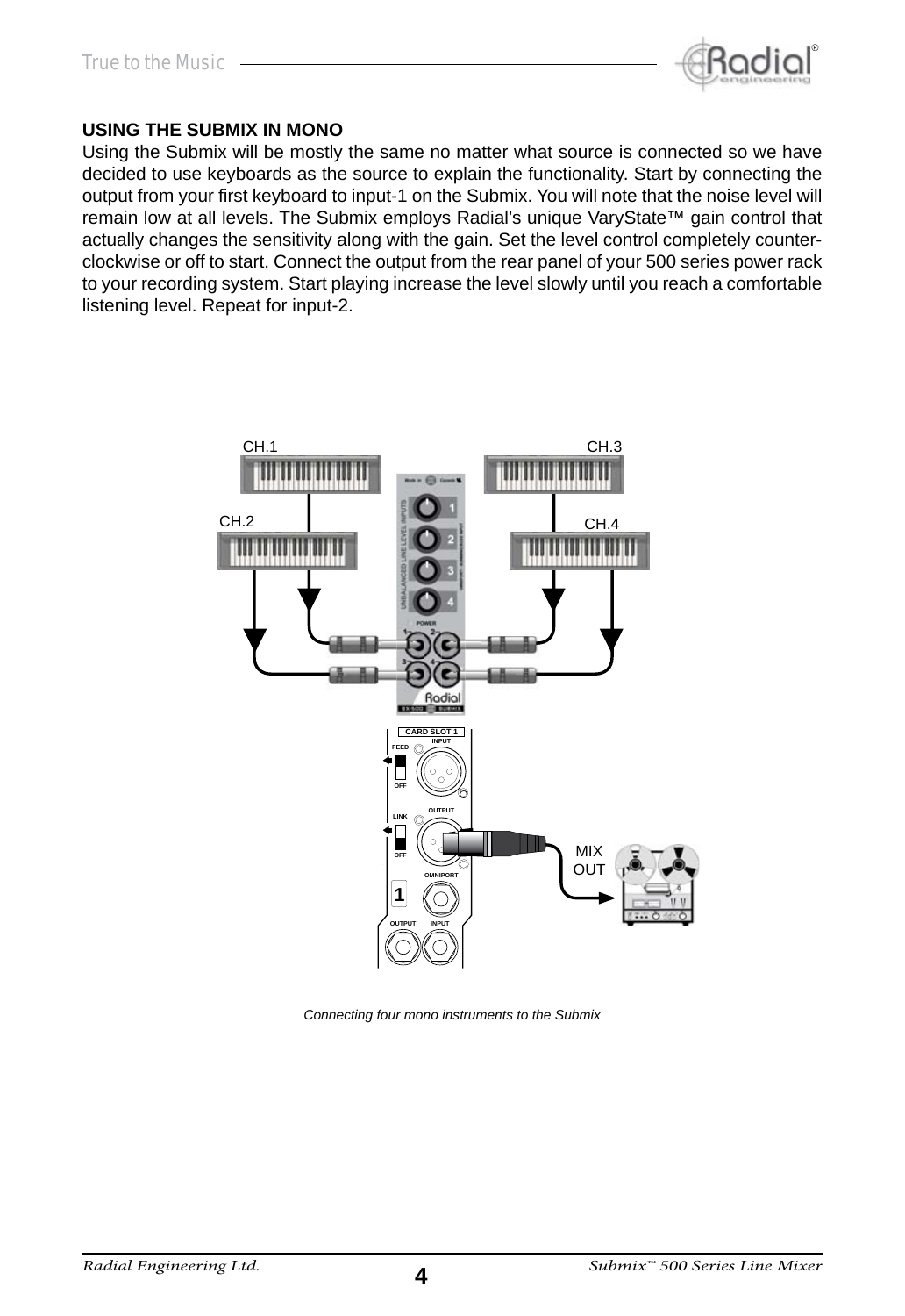

#### **USING THE SUBMIX IN MONO**

Using the Submix will be mostly the same no matter what source is connected so we have decided to use keyboards as the source to explain the functionality. Start by connecting the output from your first keyboard to input-1 on the Submix. You will note that the noise level will remain low at all levels. The Submix employs Radial's unique VaryState™ gain control that actually changes the sensitivity along with the gain. Set the level control completely counterclockwise or off to start. Connect the output from the rear panel of your 500 series power rack to your recording system. Start playing increase the level slowly until you reach a comfortable listening level. Repeat for input-2.



*Connecting four mono instruments to the Submix*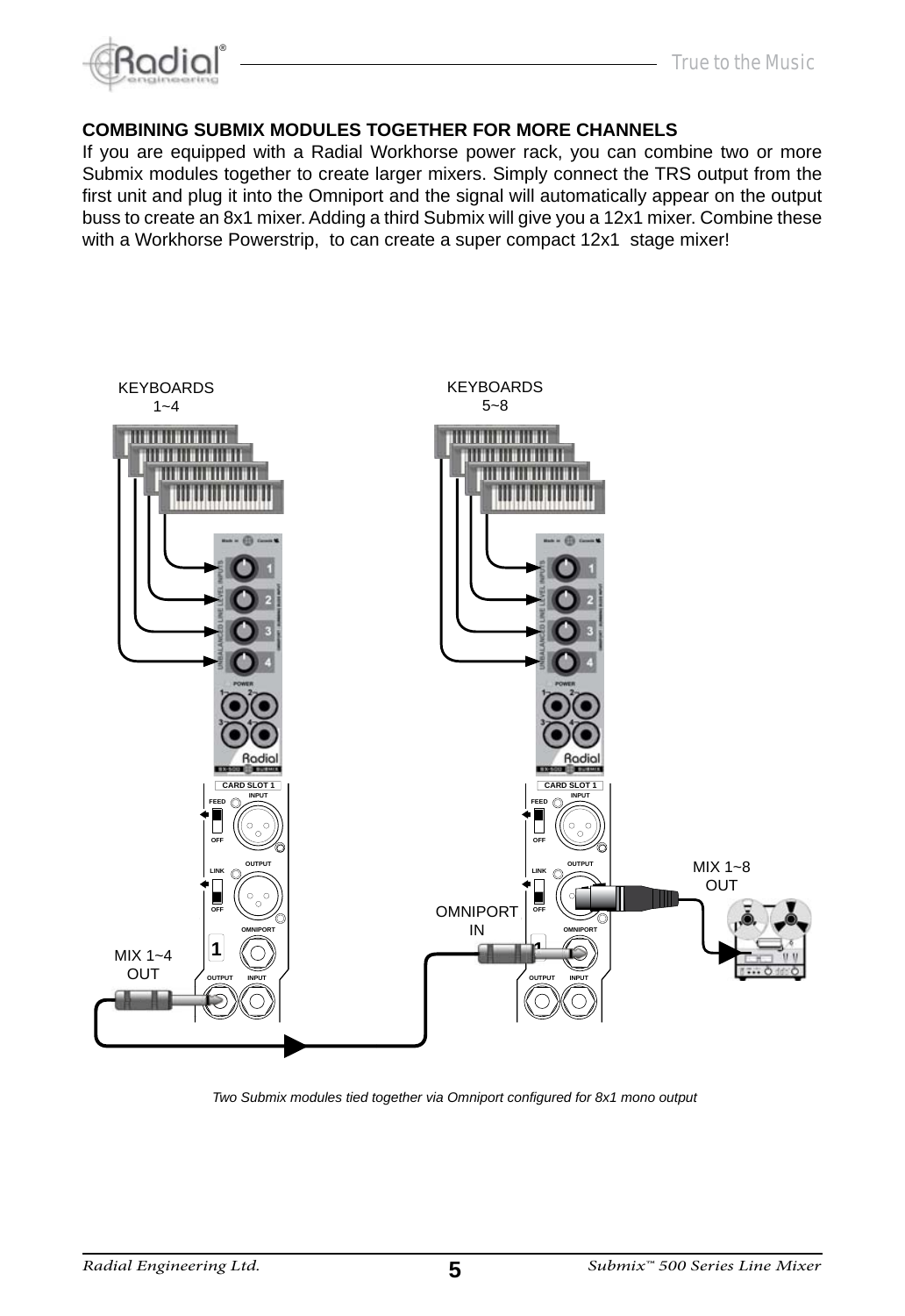



#### **COMBINING SUBMIX MODULES TOGETHER FOR MORE CHANNELS**

If you are equipped with a Radial Workhorse power rack, you can combine two or more Submix modules together to create larger mixers. Simply connect the TRS output from the first unit and plug it into the Omniport and the signal will automatically appear on the output buss to create an 8x1 mixer. Adding a third Submix will give you a 12x1 mixer. Combine these with a Workhorse Powerstrip, to can create a super compact 12x1 stage mixer!



*Two Submix modules tied together via Omniport confi gured for 8x1 mono output*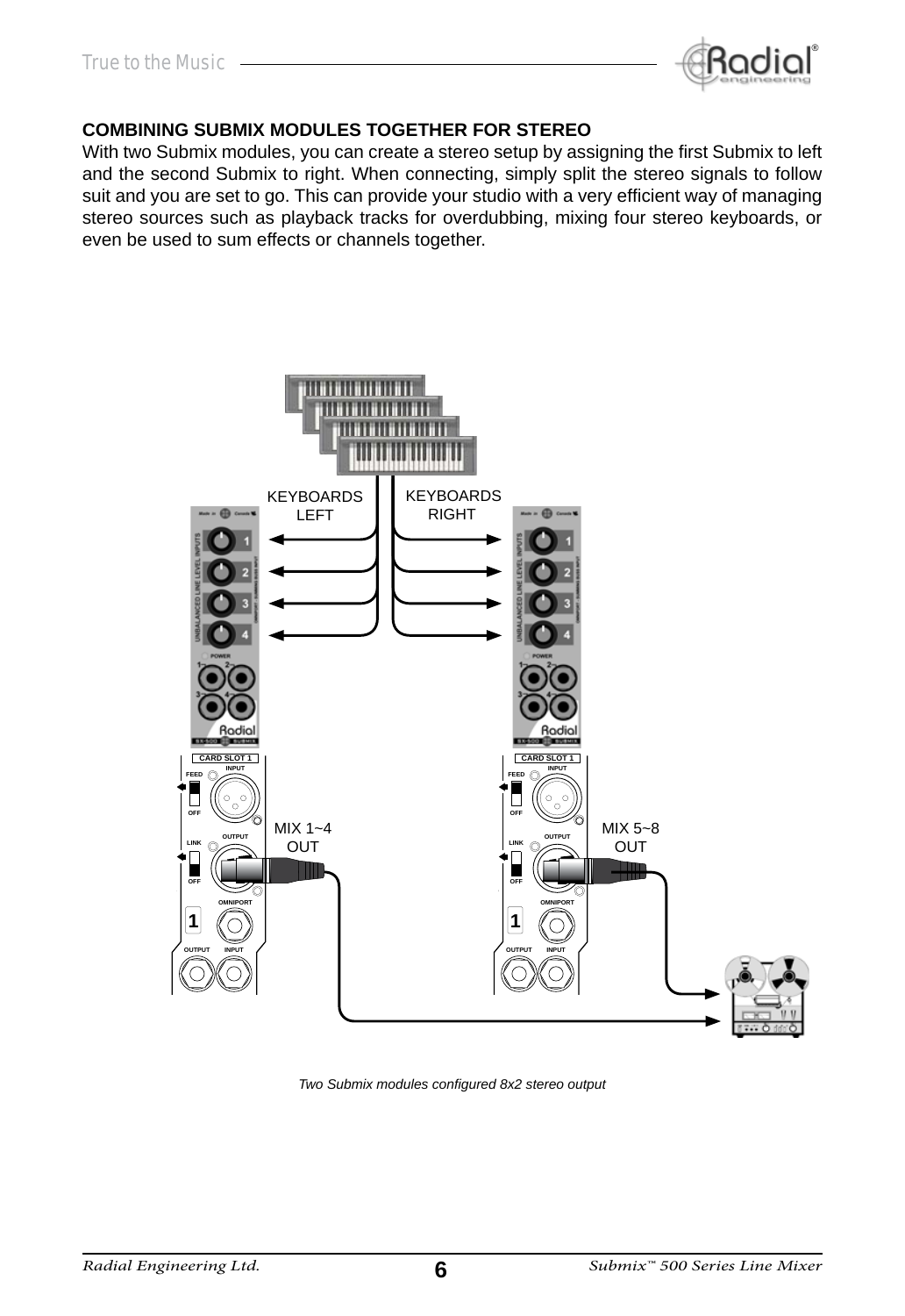

#### **COMBINING SUBMIX MODULES TOGETHER FOR STEREO**

With two Submix modules, you can create a stereo setup by assigning the first Submix to left and the second Submix to right. When connecting, simply split the stereo signals to follow suit and you are set to go. This can provide your studio with a very efficient way of managing stereo sources such as playback tracks for overdubbing, mixing four stereo keyboards, or even be used to sum effects or channels together.



**Two Submix modules configured 8x2 stereo output**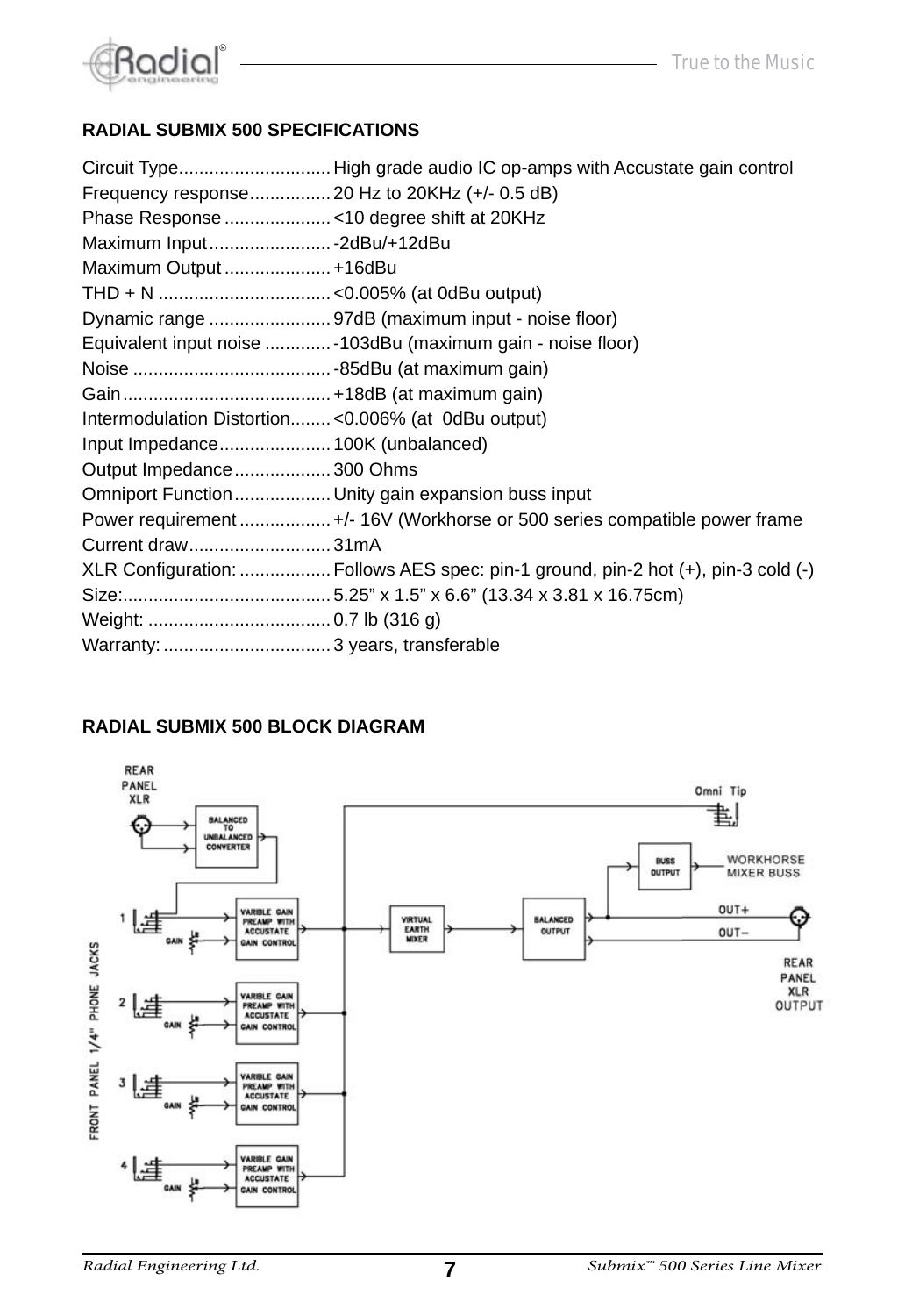

#### **RADIAL SUBMIX 500 SPECIFICATIONS**

|                                                    | Circuit TypeHigh grade audio IC op-amps with Accustate gain control               |
|----------------------------------------------------|-----------------------------------------------------------------------------------|
| Frequency response 20 Hz to 20KHz (+/- 0.5 dB)     |                                                                                   |
|                                                    |                                                                                   |
| Maximum Input  - 2dBu/+12dBu                       |                                                                                   |
| Maximum Output  +16dBu                             |                                                                                   |
|                                                    |                                                                                   |
|                                                    | Dynamic range 97dB (maximum input - noise floor)                                  |
|                                                    | Equivalent input noise  - 103dBu (maximum gain - noise floor)                     |
|                                                    |                                                                                   |
|                                                    |                                                                                   |
| Intermodulation Distortion<0.006% (at 0dBu output) |                                                                                   |
|                                                    |                                                                                   |
| Output Impedance 300 Ohms                          |                                                                                   |
|                                                    | Omniport Function Unity gain expansion buss input                                 |
|                                                    | Power requirement  +/- 16V (Workhorse or 500 series compatible power frame        |
| Current draw31mA                                   |                                                                                   |
|                                                    | XLR Configuration:  Follows AES spec: pin-1 ground, pin-2 hot (+), pin-3 cold (-) |
|                                                    |                                                                                   |
|                                                    |                                                                                   |
|                                                    |                                                                                   |

#### **RADIAL SUBMIX 500 BLOCK DIAGRAM**